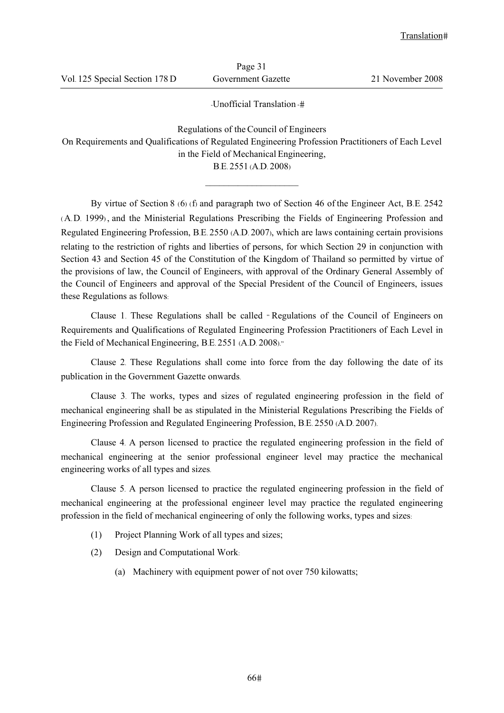|                                | 1 up    |
|--------------------------------|---------|
| Vol. 125 Special Section 178 D | Governm |

Page 31

ent Gazette 21 November 2008

-Unofficial Translation -

Regulations of theCouncil of Engineers On Requirements and Qualifications of Regulated Engineering Profession Practitioners of Each Level in the Field of Mechanical Engineering,

B.E. 2551 (A.D. 2008)  $\mathcal{L}_\text{max}$ 

By virtue of Section 8 (6) (f) and paragraph two of Section 46 of the Engineer Act, B.E. 2542 (A.D. 1999) , and the Ministerial Regulations Prescribing the Fields of Engineering Profession and Regulated Engineering Profession, B.E. 2550 (A.D. 2007), which are laws containing certain provisions relating to the restriction of rights and liberties of persons, for which Section 29 in conjunction with Section 43 and Section 45 of the Constitution of the Kingdom of Thailand so permitted by virtue of the provisions of law, the Council of Engineers, with approval of the Ordinary General Assembly of the Council of Engineers and approval of the Special President of the Council of Engineers, issues these Regulations as follows:

Clause 1. These Regulations shall be called " Regulations of the Council of Engineers on Requirements and Qualifications of Regulated Engineering Profession Practitioners of Each Level in the Field of Mechanical Engineering, B.E. 2551 (A.D. 2008)."

Clause 2. These Regulations shall come into force from the day following the date of its publication in the Government Gazette onwards.

Clause 3. The works, types and sizes of regulated engineering profession in the field of mechanical engineering shall be as stipulated in the Ministerial Regulations Prescribing the Fields of Engineering Profession and Regulated Engineering Profession, B.E. 2550 (A.D. 2007).

Clause 4. A person licensed to practice the regulated engineering profession in the field of mechanical engineering at the senior professional engineer level may practice the mechanical engineering works of all types and sizes.

Clause 5. A person licensed to practice the regulated engineering profession in the field of mechanical engineering at the professional engineer level may practice the regulated engineering profession in the field of mechanical engineering of only the following works, types and sizes:

- (1) Project Planning Work of all types and sizes;
- (2) Design and Computational Work:
	- (a) Machinery with equipment power of not over 750 kilowatts;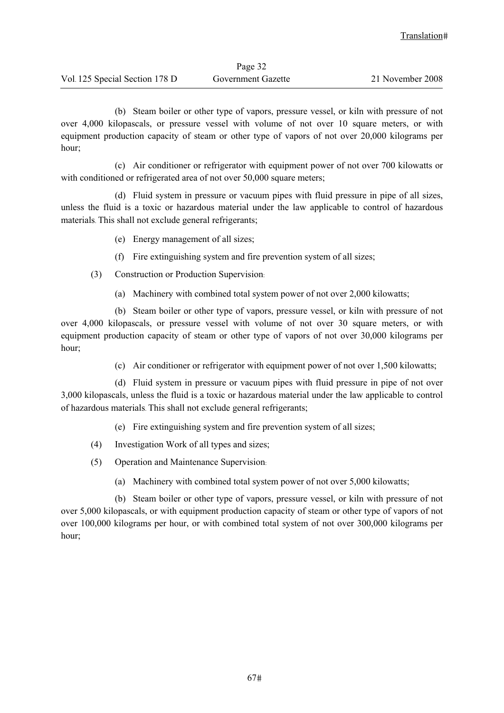| Page 32                        |                    |                  |
|--------------------------------|--------------------|------------------|
| Vol. 125 Special Section 178 D | Government Gazette | 21 November 2008 |

(b) Steam boiler or other type of vapors, pressure vessel, or kiln with pressure of not over 4,000 kilopascals, or pressure vessel with volume of not over 10 square meters, or with equipment production capacity of steam or other type of vapors of not over 20,000 kilograms per hour;

(c) Air conditioner or refrigerator with equipment power of not over 700 kilowatts or with conditioned or refrigerated area of not over 50,000 square meters;

(d) Fluid system in pressure or vacuum pipes with fluid pressure in pipe of all sizes, unless the fluid is a toxic or hazardous material under the law applicable to control of hazardous materials. This shall not exclude general refrigerants;

- (e) Energy management of all sizes;
- (f) Fire extinguishing system and fire prevention system of all sizes;
- (3) Construction or Production Supervision:
	- (a) Machinery with combined total system power of not over 2,000 kilowatts;

(b) Steam boiler or other type of vapors, pressure vessel, or kiln with pressure of not over 4,000 kilopascals, or pressure vessel with volume of not over 30 square meters, or with equipment production capacity of steam or other type of vapors of not over 30,000 kilograms per hour;

(c) Air conditioner or refrigerator with equipment power of not over 1,500 kilowatts;

(d) Fluid system in pressure or vacuum pipes with fluid pressure in pipe of not over 3,000 kilopascals, unless the fluid is a toxic or hazardous material under the law applicable to control of hazardous materials. This shall not exclude general refrigerants;

- (e) Fire extinguishing system and fire prevention system of all sizes;
- (4) Investigation Work of all types and sizes;
- (5) Operation and Maintenance Supervision:
	- (a) Machinery with combined total system power of not over 5,000 kilowatts;

(b) Steam boiler or other type of vapors, pressure vessel, or kiln with pressure of not over 5,000 kilopascals, or with equipment production capacity of steam or other type of vapors of not over 100,000 kilograms per hour, or with combined total system of not over 300,000 kilograms per hour;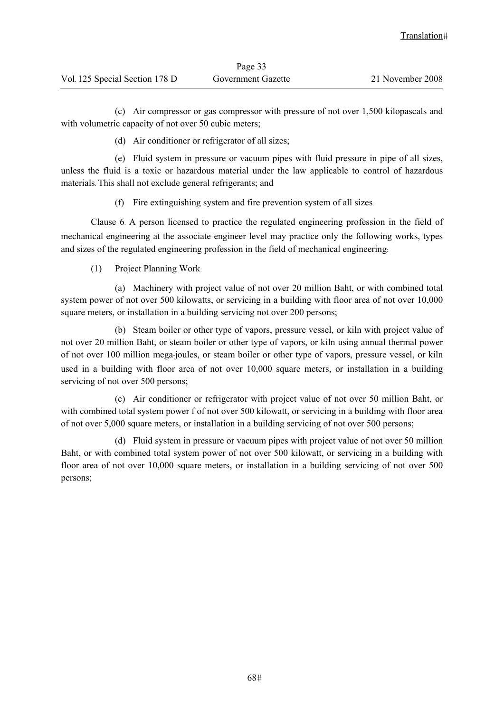| Page 33                        |                    |                  |
|--------------------------------|--------------------|------------------|
| Vol. 125 Special Section 178 D | Government Gazette | 21 November 2008 |

(c) Air compressor or gas compressor with pressure of not over 1,500 kilopascals and with volumetric capacity of not over 50 cubic meters;

(d) Air conditioner or refrigerator of all sizes;

(e) Fluid system in pressure or vacuum pipes with fluid pressure in pipe of all sizes, unless the fluid is a toxic or hazardous material under the law applicable to control of hazardous materials. This shall not exclude general refrigerants; and

(f) Fire extinguishing system and fire prevention system of all sizes.

Clause 6. A person licensed to practice the regulated engineering profession in the field of mechanical engineering at the associate engineer level may practice only the following works, types and sizes of the regulated engineering profession in the field of mechanical engineering:

(1) Project Planning Work:

(a) Machinery with project value of not over 20 million Baht, or with combined total system power of not over 500 kilowatts, or servicing in a building with floor area of not over 10,000 square meters, or installation in a building servicing not over 200 persons;

(b) Steam boiler or other type of vapors, pressure vessel, or kiln with project value of not over 20 million Baht, or steam boiler or other type of vapors, or kiln using annual thermal power of not over 100 million mega-joules, or steam boiler or other type of vapors, pressure vessel, or kiln used in a building with floor area of not over 10,000 square meters, or installation in a building servicing of not over 500 persons;

(c) Air conditioner or refrigerator with project value of not over 50 million Baht, or with combined total system power f of not over 500 kilowatt, or servicing in a building with floor area of not over 5,000 square meters, or installation in a building servicing of not over 500 persons;

(d) Fluid system in pressure or vacuum pipes with project value of not over 50 million Baht, or with combined total system power of not over 500 kilowatt, or servicing in a building with floor area of not over 10,000 square meters, or installation in a building servicing of not over 500 persons;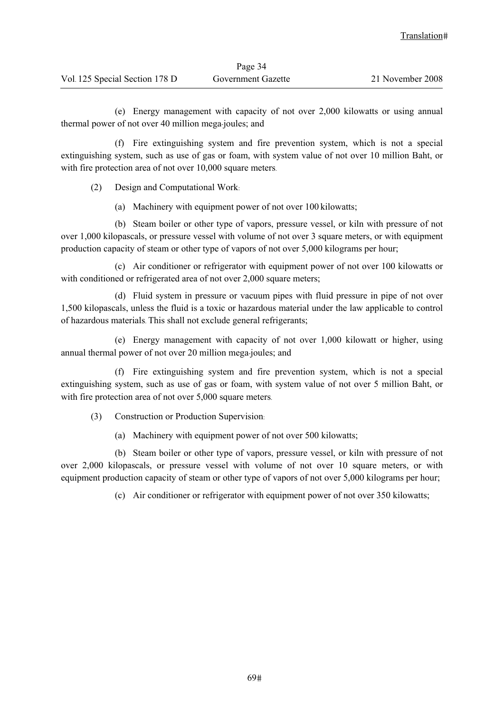| Page 34                        |                    |                  |
|--------------------------------|--------------------|------------------|
| Vol. 125 Special Section 178 D | Government Gazette | 21 November 2008 |

(e) Energy management with capacity of not over 2,000 kilowatts or using annual thermal power of not over 40 million mega-joules; and

(f) Fire extinguishing system and fire prevention system, which is not a special extinguishing system, such as use of gas or foam, with system value of not over 10 million Baht, or with fire protection area of not over 10,000 square meters.

(2) Design and Computational Work:

(a) Machinery with equipment power of not over 100 kilowatts;

(b) Steam boiler or other type of vapors, pressure vessel, or kiln with pressure of not over 1,000 kilopascals, or pressure vessel with volume of not over 3 square meters, or with equipment production capacity of steam or other type of vapors of not over 5,000 kilograms per hour;

(c) Air conditioner or refrigerator with equipment power of not over 100 kilowatts or with conditioned or refrigerated area of not over 2,000 square meters;

(d) Fluid system in pressure or vacuum pipes with fluid pressure in pipe of not over 1,500 kilopascals, unless the fluid is a toxic or hazardous material under the law applicable to control of hazardous materials. This shall not exclude general refrigerants;

(e) Energy management with capacity of not over 1,000 kilowatt or higher, using annual thermal power of not over 20 million mega-joules; and

(f) Fire extinguishing system and fire prevention system, which is not a special extinguishing system, such as use of gas or foam, with system value of not over 5 million Baht, or with fire protection area of not over 5,000 square meters.

(3) Construction or Production Supervision:

(a) Machinery with equipment power of not over 500 kilowatts;

(b) Steam boiler or other type of vapors, pressure vessel, or kiln with pressure of not over 2,000 kilopascals, or pressure vessel with volume of not over 10 square meters, or with equipment production capacity of steam or other type of vapors of not over 5,000 kilograms per hour;

(c) Air conditioner or refrigerator with equipment power of not over 350 kilowatts;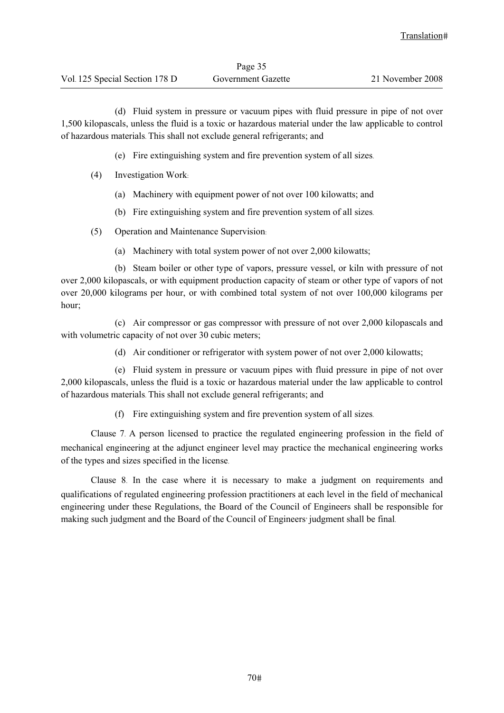|                                | Page 35            |                  |  |
|--------------------------------|--------------------|------------------|--|
| Vol. 125 Special Section 178 D | Government Gazette | 21 November 2008 |  |

(d) Fluid system in pressure or vacuum pipes with fluid pressure in pipe of not over 1,500 kilopascals, unless the fluid is a toxic or hazardous material under the law applicable to control of hazardous materials. This shall not exclude general refrigerants; and

(e) Fire extinguishing system and fire prevention system of all sizes.

- (4) Investigation Work:
	- (a) Machinery with equipment power of not over 100 kilowatts; and
	- (b) Fire extinguishing system and fire prevention system of all sizes.
- (5) Operation and Maintenance Supervision:
	- (a) Machinery with total system power of not over 2,000 kilowatts;

(b) Steam boiler or other type of vapors, pressure vessel, or kiln with pressure of not over 2,000 kilopascals, or with equipment production capacity of steam or other type of vapors of not over 20,000 kilograms per hour, or with combined total system of not over 100,000 kilograms per hour;

(c) Air compressor or gas compressor with pressure of not over 2,000 kilopascals and with volumetric capacity of not over 30 cubic meters;

(d) Air conditioner or refrigerator with system power of not over 2,000 kilowatts;

(e) Fluid system in pressure or vacuum pipes with fluid pressure in pipe of not over 2,000 kilopascals, unless the fluid is a toxic or hazardous material under the law applicable to control of hazardous materials. This shall not exclude general refrigerants; and

(f) Fire extinguishing system and fire prevention system of all sizes.

Clause 7. A person licensed to practice the regulated engineering profession in the field of mechanical engineering at the adjunct engineer level may practice the mechanical engineering works of the types and sizes specified in the license.

Clause 8. In the case where it is necessary to make a judgment on requirements and qualifications of regulated engineering profession practitioners at each level in the field of mechanical engineering under these Regulations, the Board of the Council of Engineers shall be responsible for making such judgment and the Board of the Council of Engineers' judgment shall be final.